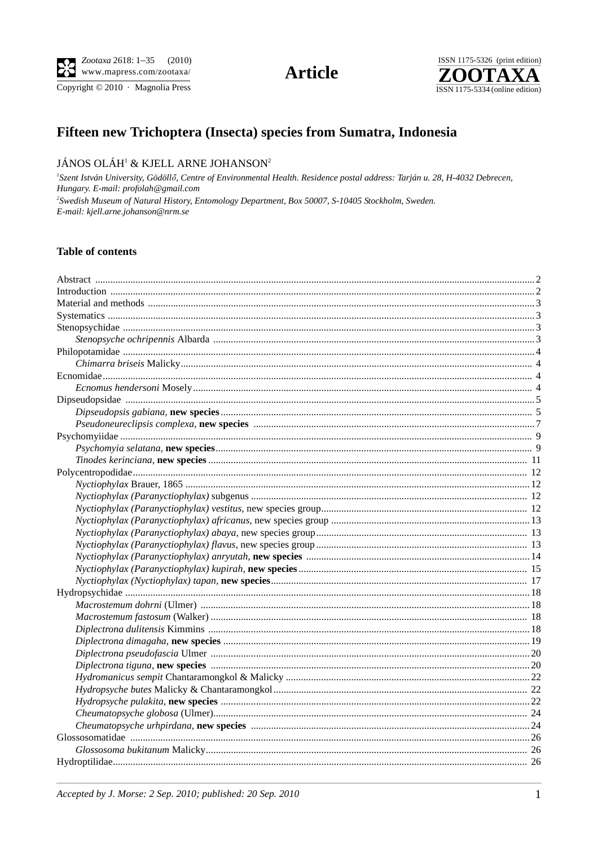

Copyright © 2010 · Magnolia Press

**Article** 



# Fifteen new Trichoptera (Insecta) species from Sumatra, Indonesia

#### JÁNOS OLÁH<sup>1</sup> & KJELL ARNE JOHANSON<sup>2</sup>

<sup>1</sup>Szent István University, Gödöllő, Centre of Environmental Health. Residence postal address: Tarján u. 28, H-4032 Debrecen, Hungary. E-mail: profolah@gmail.com <sup>2</sup>Swedish Museum of Natural History, Entomology Department, Box 50007, S-10405 Stockholm, Sweden. E-mail: kjell.arne.johanson@nrm.se

#### **Table of contents**